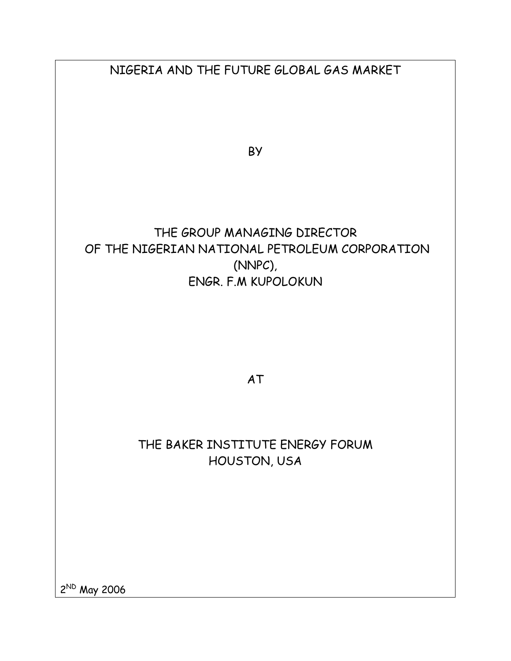| NIGERIA AND THE FUTURE GLOBAL GAS MARKET       |
|------------------------------------------------|
|                                                |
|                                                |
|                                                |
| BY                                             |
|                                                |
|                                                |
|                                                |
|                                                |
| THE GROUP MANAGING DIRECTOR                    |
| OF THE NIGERIAN NATIONAL PETROLEUM CORPORATION |
| (NNPC),<br>ENGR. F.M KUPOLOKUN                 |
|                                                |
|                                                |
|                                                |
|                                                |
|                                                |
| AT                                             |
|                                                |
|                                                |
| THE BAKER INSTITUTE ENERGY FORUM               |
| HOUSTON, USA                                   |
|                                                |
|                                                |
|                                                |
|                                                |
|                                                |
|                                                |

2<sup>ND</sup> May 2006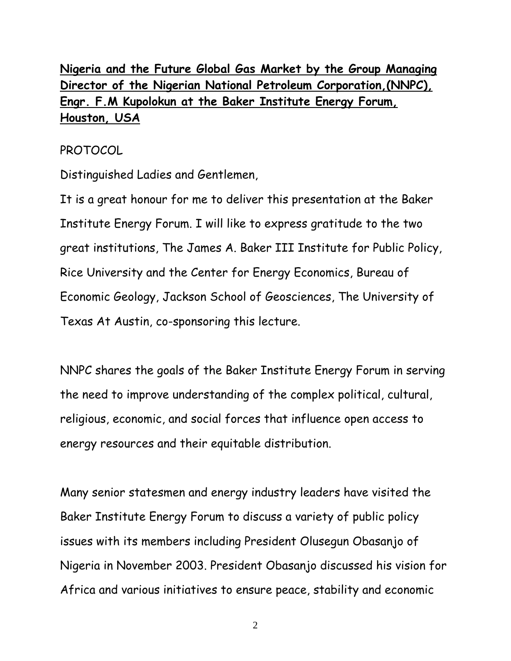# **Nigeria and the Future Global Gas Market by the Group Managing Director of the Nigerian National Petroleum Corporation,(NNPC), Engr. F.M Kupolokun at the Baker Institute Energy Forum, Houston, USA**

# PROTOCOL

Distinguished Ladies and Gentlemen,

It is a great honour for me to deliver this presentation at the Baker Institute Energy Forum. I will like to express gratitude to the two great institutions, The James A. Baker III Institute for Public Policy, Rice University and the Center for Energy Economics, Bureau of Economic Geology, Jackson School of Geosciences, The University of Texas At Austin, co-sponsoring this lecture.

NNPC shares the goals of the Baker Institute Energy Forum in serving the need to improve understanding of the complex political, cultural, religious, economic, and social forces that influence open access to energy resources and their equitable distribution.

Many senior statesmen and energy industry leaders have visited the Baker Institute Energy Forum to discuss a variety of public policy issues with its members including President Olusegun Obasanjo of Nigeria in November 2003. President Obasanjo discussed his vision for Africa and various initiatives to ensure peace, stability and economic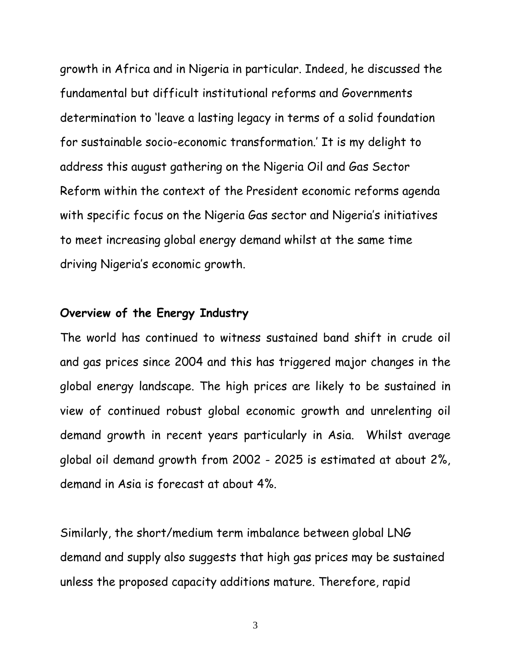growth in Africa and in Nigeria in particular. Indeed, he discussed the fundamental but difficult institutional reforms and Governments determination to 'leave a lasting legacy in terms of a solid foundation for sustainable socio-economic transformation.' It is my delight to address this august gathering on the Nigeria Oil and Gas Sector Reform within the context of the President economic reforms agenda with specific focus on the Nigeria Gas sector and Nigeria's initiatives to meet increasing global energy demand whilst at the same time driving Nigeria's economic growth.

# **Overview of the Energy Industry**

The world has continued to witness sustained band shift in crude oil and gas prices since 2004 and this has triggered major changes in the global energy landscape. The high prices are likely to be sustained in view of continued robust global economic growth and unrelenting oil demand growth in recent years particularly in Asia. Whilst average global oil demand growth from 2002 - 2025 is estimated at about 2%, demand in Asia is forecast at about 4%.

Similarly, the short/medium term imbalance between global LNG demand and supply also suggests that high gas prices may be sustained unless the proposed capacity additions mature. Therefore, rapid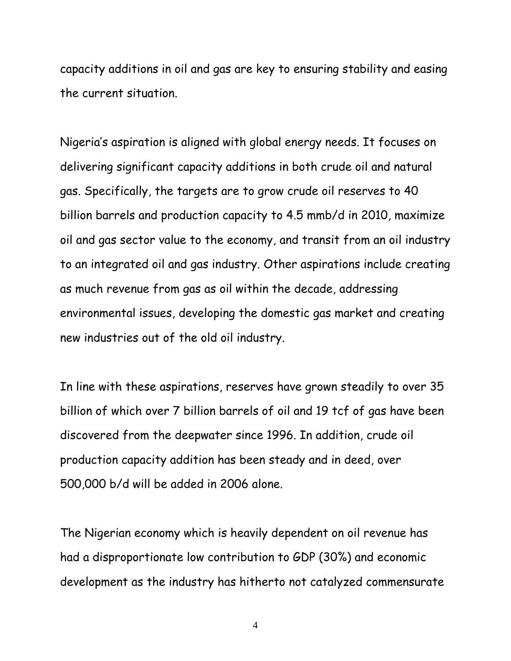capacity additions in oil and gas are key to ensuring stability and easing the current situation.

Nigeria's aspiration is aligned with global energy needs. It focuses on delivering significant capacity additions in both crude oil and natural gas. Specifically, the targets are to grow crude oil reserves to 40 billion barrels and production capacity to 4.5 mmb/d in 2010, maximize oil and gas sector value to the economy, and transit from an oil industry to an integrated oil and gas industry. Other aspirations include creating as much revenue from gas as oil within the decade, addressing environmental issues, developing the domestic gas market and creating new industries out of the old oil industry.

In line with these aspirations, reserves have grown steadily to over 35 billion of which over 7 billion barrels of oil and 19 tcf of gas have been discovered from the deepwater since 1996. In addition, crude oil production capacity addition has been steady and in deed, over 500,000 b/d will be added in 2006 alone.

The Nigerian economy which is heavily dependent on oil revenue has had a disproportionate low contribution to GDP (30%) and economic development as the industry has hitherto not catalyzed commensurate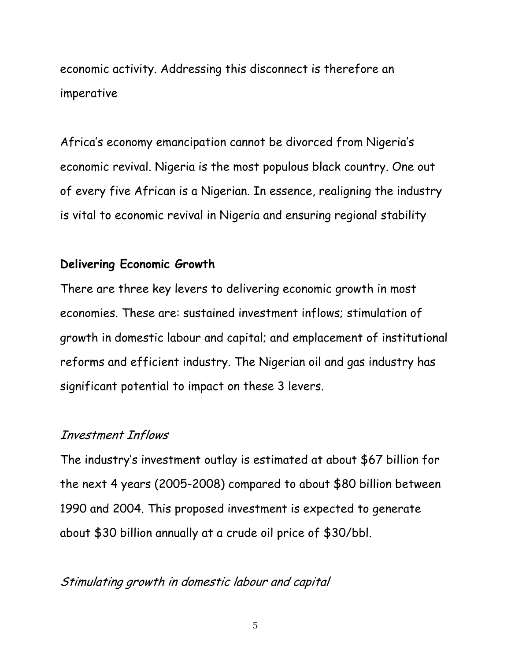economic activity. Addressing this disconnect is therefore an imperative

Africa's economy emancipation cannot be divorced from Nigeria's economic revival. Nigeria is the most populous black country. One out of every five African is a Nigerian. In essence, realigning the industry is vital to economic revival in Nigeria and ensuring regional stability

# **Delivering Economic Growth**

There are three key levers to delivering economic growth in most economies. These are: sustained investment inflows; stimulation of growth in domestic labour and capital; and emplacement of institutional reforms and efficient industry. The Nigerian oil and gas industry has significant potential to impact on these 3 levers.

#### Investment Inflows

The industry's investment outlay is estimated at about \$67 billion for the next 4 years (2005-2008) compared to about \$80 billion between 1990 and 2004. This proposed investment is expected to generate about \$30 billion annually at a crude oil price of \$30/bbl.

# Stimulating growth in domestic labour and capital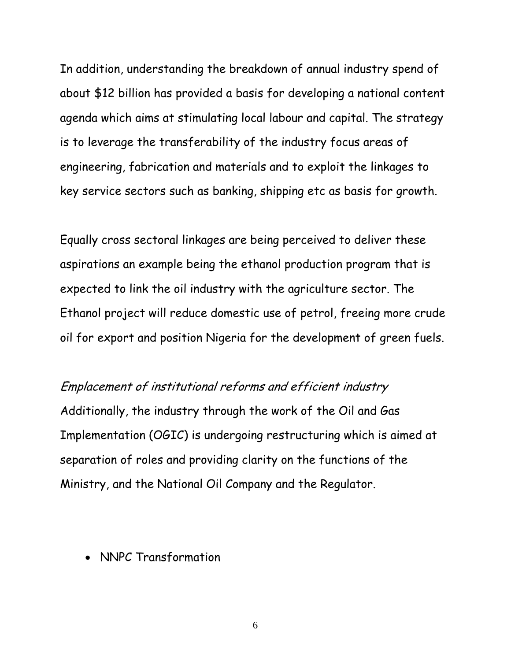In addition, understanding the breakdown of annual industry spend of about \$12 billion has provided a basis for developing a national content agenda which aims at stimulating local labour and capital. The strategy is to leverage the transferability of the industry focus areas of engineering, fabrication and materials and to exploit the linkages to key service sectors such as banking, shipping etc as basis for growth.

Equally cross sectoral linkages are being perceived to deliver these aspirations an example being the ethanol production program that is expected to link the oil industry with the agriculture sector. The Ethanol project will reduce domestic use of petrol, freeing more crude oil for export and position Nigeria for the development of green fuels.

# Emplacement of institutional reforms and efficient industry

Additionally, the industry through the work of the Oil and Gas Implementation (OGIC) is undergoing restructuring which is aimed at separation of roles and providing clarity on the functions of the Ministry, and the National Oil Company and the Regulator.

• NNPC Transformation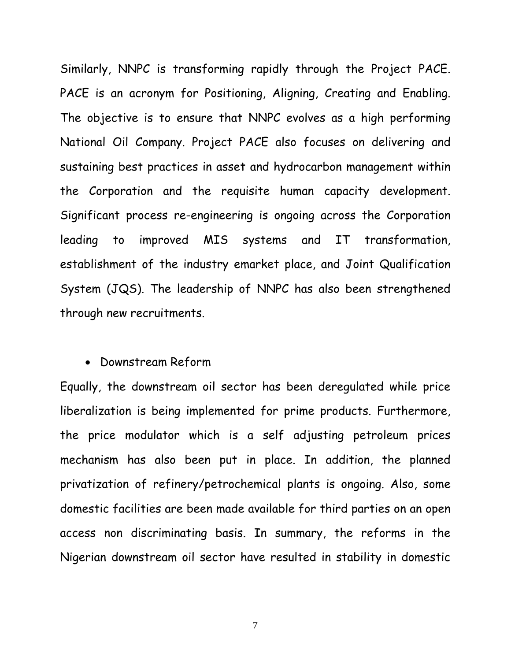Similarly, NNPC is transforming rapidly through the Project PACE. PACE is an acronym for Positioning, Aligning, Creating and Enabling. The objective is to ensure that NNPC evolves as a high performing National Oil Company. Project PACE also focuses on delivering and sustaining best practices in asset and hydrocarbon management within the Corporation and the requisite human capacity development. Significant process re-engineering is ongoing across the Corporation leading to improved MIS systems and IT transformation, establishment of the industry emarket place, and Joint Qualification System (JQS). The leadership of NNPC has also been strengthened through new recruitments.

#### • Downstream Reform

Equally, the downstream oil sector has been deregulated while price liberalization is being implemented for prime products. Furthermore, the price modulator which is a self adjusting petroleum prices mechanism has also been put in place. In addition, the planned privatization of refinery/petrochemical plants is ongoing. Also, some domestic facilities are been made available for third parties on an open access non discriminating basis. In summary, the reforms in the Nigerian downstream oil sector have resulted in stability in domestic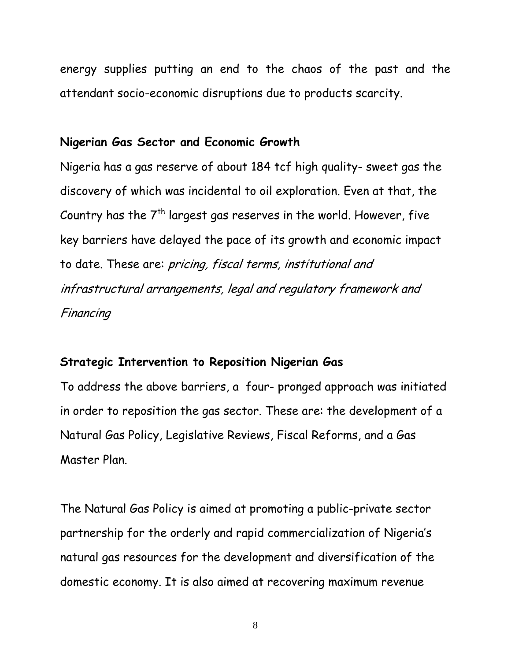energy supplies putting an end to the chaos of the past and the attendant socio-economic disruptions due to products scarcity.

# **Nigerian Gas Sector and Economic Growth**

Nigeria has a gas reserve of about 184 tcf high quality- sweet gas the discovery of which was incidental to oil exploration. Even at that, the Country has the  $7<sup>th</sup>$  largest gas reserves in the world. However, five key barriers have delayed the pace of its growth and economic impact to date. These are: pricing, fiscal terms, institutional and infrastructural arrangements, legal and regulatory framework and Financing

# **Strategic Intervention to Reposition Nigerian Gas**

To address the above barriers, a four- pronged approach was initiated in order to reposition the gas sector. These are: the development of a Natural Gas Policy, Legislative Reviews, Fiscal Reforms, and a Gas Master Plan.

The Natural Gas Policy is aimed at promoting a public-private sector partnership for the orderly and rapid commercialization of Nigeria's natural gas resources for the development and diversification of the domestic economy. It is also aimed at recovering maximum revenue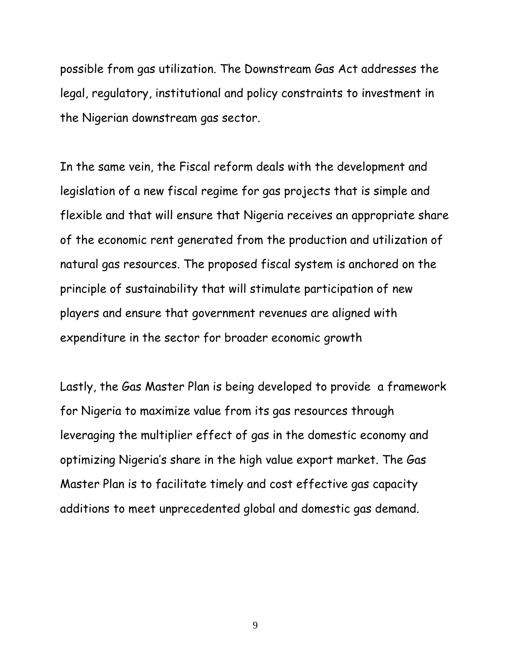possible from gas utilization. The Downstream Gas Act addresses the legal, regulatory, institutional and policy constraints to investment in the Nigerian downstream gas sector.

In the same vein, the Fiscal reform deals with the development and legislation of a new fiscal regime for gas projects that is simple and flexible and that will ensure that Nigeria receives an appropriate share of the economic rent generated from the production and utilization of natural gas resources. The proposed fiscal system is anchored on the principle of sustainability that will stimulate participation of new players and ensure that government revenues are aligned with expenditure in the sector for broader economic growth

Lastly, the Gas Master Plan is being developed to provide a framework for Nigeria to maximize value from its gas resources through leveraging the multiplier effect of gas in the domestic economy and optimizing Nigeria's share in the high value export market. The Gas Master Plan is to facilitate timely and cost effective gas capacity additions to meet unprecedented global and domestic gas demand.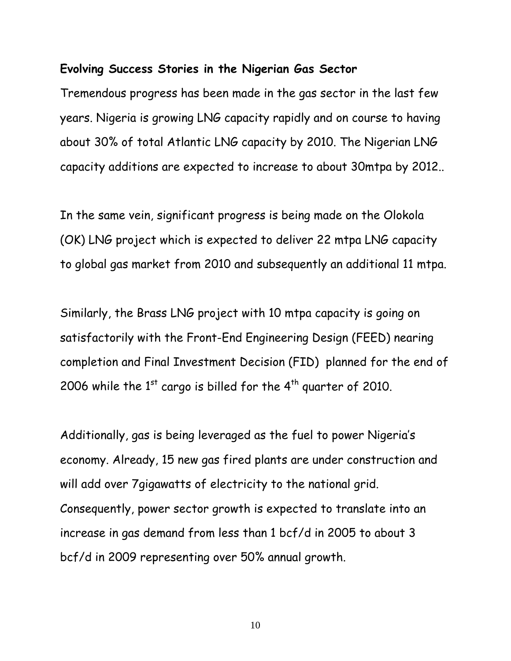#### **Evolving Success Stories in the Nigerian Gas Sector**

Tremendous progress has been made in the gas sector in the last few years. Nigeria is growing LNG capacity rapidly and on course to having about 30% of total Atlantic LNG capacity by 2010. The Nigerian LNG capacity additions are expected to increase to about 30mtpa by 2012..

In the same vein, significant progress is being made on the Olokola (OK) LNG project which is expected to deliver 22 mtpa LNG capacity to global gas market from 2010 and subsequently an additional 11 mtpa.

Similarly, the Brass LNG project with 10 mtpa capacity is going on satisfactorily with the Front-End Engineering Design (FEED) nearing completion and Final Investment Decision (FID) planned for the end of 2006 while the  $1<sup>st</sup>$  cargo is billed for the  $4<sup>th</sup>$  quarter of 2010.

Additionally, gas is being leveraged as the fuel to power Nigeria's economy. Already, 15 new gas fired plants are under construction and will add over 7gigawatts of electricity to the national grid. Consequently, power sector growth is expected to translate into an increase in gas demand from less than 1 bcf/d in 2005 to about 3 bcf/d in 2009 representing over 50% annual growth.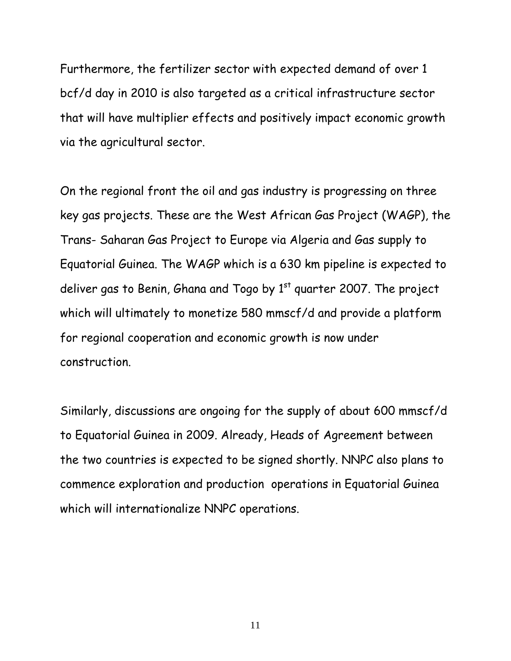Furthermore, the fertilizer sector with expected demand of over 1 bcf/d day in 2010 is also targeted as a critical infrastructure sector that will have multiplier effects and positively impact economic growth via the agricultural sector.

On the regional front the oil and gas industry is progressing on three key gas projects. These are the West African Gas Project (WAGP), the Trans- Saharan Gas Project to Europe via Algeria and Gas supply to Equatorial Guinea. The WAGP which is a 630 km pipeline is expected to deliver gas to Benin, Ghana and Togo by  $1<sup>st</sup>$  quarter 2007. The project which will ultimately to monetize 580 mmscf/d and provide a platform for regional cooperation and economic growth is now under construction.

Similarly, discussions are ongoing for the supply of about 600 mmscf/d to Equatorial Guinea in 2009. Already, Heads of Agreement between the two countries is expected to be signed shortly. NNPC also plans to commence exploration and production operations in Equatorial Guinea which will internationalize NNPC operations.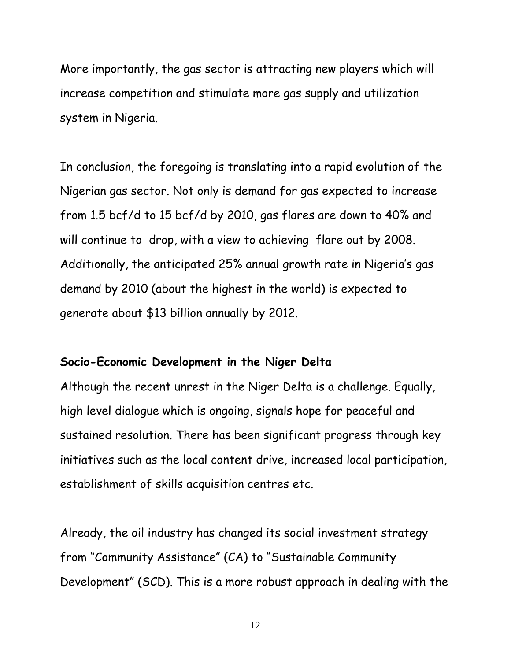More importantly, the gas sector is attracting new players which will increase competition and stimulate more gas supply and utilization system in Nigeria.

In conclusion, the foregoing is translating into a rapid evolution of the Nigerian gas sector. Not only is demand for gas expected to increase from 1.5 bcf/d to 15 bcf/d by 2010, gas flares are down to 40% and will continue to drop, with a view to achieving flare out by 2008. Additionally, the anticipated 25% annual growth rate in Nigeria's gas demand by 2010 (about the highest in the world) is expected to generate about \$13 billion annually by 2012.

# **Socio-Economic Development in the Niger Delta**

Although the recent unrest in the Niger Delta is a challenge. Equally, high level dialogue which is ongoing, signals hope for peaceful and sustained resolution. There has been significant progress through key initiatives such as the local content drive, increased local participation, establishment of skills acquisition centres etc.

Already, the oil industry has changed its social investment strategy from "Community Assistance" (CA) to "Sustainable Community Development" (SCD). This is a more robust approach in dealing with the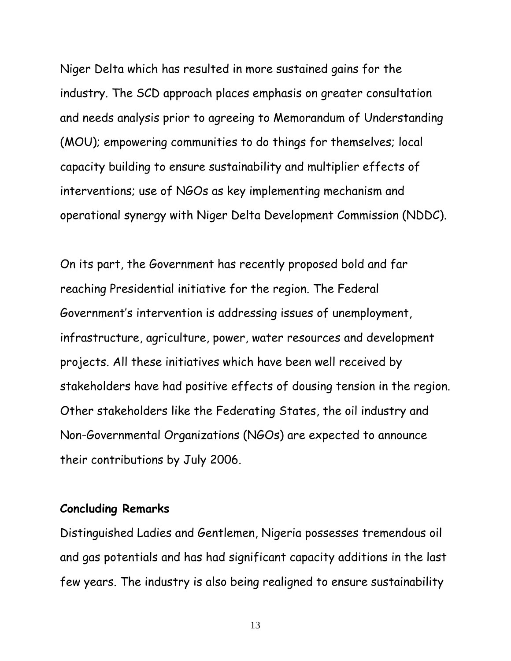Niger Delta which has resulted in more sustained gains for the industry. The SCD approach places emphasis on greater consultation and needs analysis prior to agreeing to Memorandum of Understanding (MOU); empowering communities to do things for themselves; local capacity building to ensure sustainability and multiplier effects of interventions; use of NGOs as key implementing mechanism and operational synergy with Niger Delta Development Commission (NDDC).

On its part, the Government has recently proposed bold and far reaching Presidential initiative for the region. The Federal Government's intervention is addressing issues of unemployment, infrastructure, agriculture, power, water resources and development projects. All these initiatives which have been well received by stakeholders have had positive effects of dousing tension in the region. Other stakeholders like the Federating States, the oil industry and Non-Governmental Organizations (NGOs) are expected to announce their contributions by July 2006.

# **Concluding Remarks**

Distinguished Ladies and Gentlemen, Nigeria possesses tremendous oil and gas potentials and has had significant capacity additions in the last few years. The industry is also being realigned to ensure sustainability